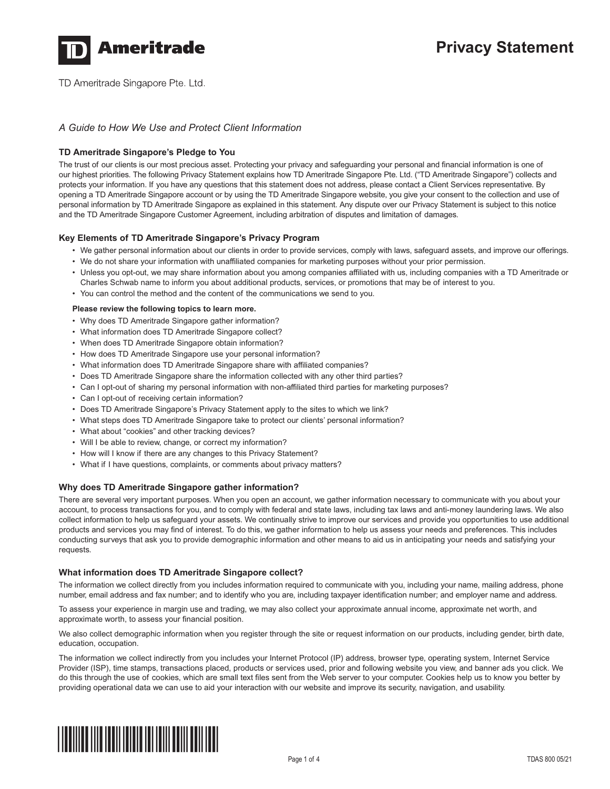

TD Ameritrade Singapore Pte. Ltd.

# *A Guide to How We Use and Protect Client Information*

## **TD Ameritrade Singapore's Pledge to You**

The trust of our clients is our most precious asset. Protecting your privacy and safeguarding your personal and financial information is one of our highest priorities. The following Privacy Statement explains how TD Ameritrade Singapore Pte. Ltd. ("TD Ameritrade Singapore") collects and protects your information. If you have any questions that this statement does not address, please contact a Client Services representative. By opening a TD Ameritrade Singapore account or by using the TD Ameritrade Singapore website, you give your consent to the collection and use of personal information by TD Ameritrade Singapore as explained in this statement. Any dispute over our Privacy Statement is subject to this notice and the TD Ameritrade Singapore Customer Agreement, including arbitration of disputes and limitation of damages.

## **Key Elements of TD Ameritrade Singapore's Privacy Program**

- We gather personal information about our clients in order to provide services, comply with laws, safeguard assets, and improve our offerings.
- We do not share your information with unaffiliated companies for marketing purposes without your prior permission.
- Unless you opt-out, we may share information about you among companies affiliated with us, including companies with a TD Ameritrade or
- Charles Schwab name to inform you about additional products, services, or promotions that may be of interest to you. • You can control the method and the content of the communications we send to you.

### **Please review the following topics to learn more.**

- Why does TD Ameritrade Singapore gather information?
- What information does TD Ameritrade Singapore collect?
- When does TD Ameritrade Singapore obtain information?
- How does TD Ameritrade Singapore use your personal information?
- What information does TD Ameritrade Singapore share with affiliated companies?
- Does TD Ameritrade Singapore share the information collected with any other third parties?
- Can I opt-out of sharing my personal information with non-affiliated third parties for marketing purposes?
- Can I opt-out of receiving certain information?
- Does TD Ameritrade Singapore's Privacy Statement apply to the sites to which we link?
- What steps does TD Ameritrade Singapore take to protect our clients' personal information?
- What about "cookies" and other tracking devices?
- Will I be able to review, change, or correct my information?
- How will I know if there are any changes to this Privacy Statement?
- What if I have questions, complaints, or comments about privacy matters?

### **Why does TD Ameritrade Singapore gather information?**

There are several very important purposes. When you open an account, we gather information necessary to communicate with you about your account, to process transactions for you, and to comply with federal and state laws, including tax laws and anti-money laundering laws. We also collect information to help us safeguard your assets. We continually strive to improve our services and provide you opportunities to use additional products and services you may find of interest. To do this, we gather information to help us assess your needs and preferences. This includes conducting surveys that ask you to provide demographic information and other means to aid us in anticipating your needs and satisfying your requests.

### **What information does TD Ameritrade Singapore collect?**

The information we collect directly from you includes information required to communicate with you, including your name, mailing address, phone number, email address and fax number; and to identify who you are, including taxpayer identification number; and employer name and address.

To assess your experience in margin use and trading, we may also collect your approximate annual income, approximate net worth, and approximate worth, to assess your financial position.

We also collect demographic information when you register through the site or request information on our products, including gender, birth date, education, occupation.

The information we collect indirectly from you includes your Internet Protocol (IP) address, browser type, operating system, Internet Service Provider (ISP), time stamps, transactions placed, products or services used, prior and following website you view, and banner ads you click. We do this through the use of cookies, which are small text files sent from the Web server to your computer. Cookies help us to know you better by providing operational data we can use to aid your interaction with our website and improve its security, navigation, and usability.

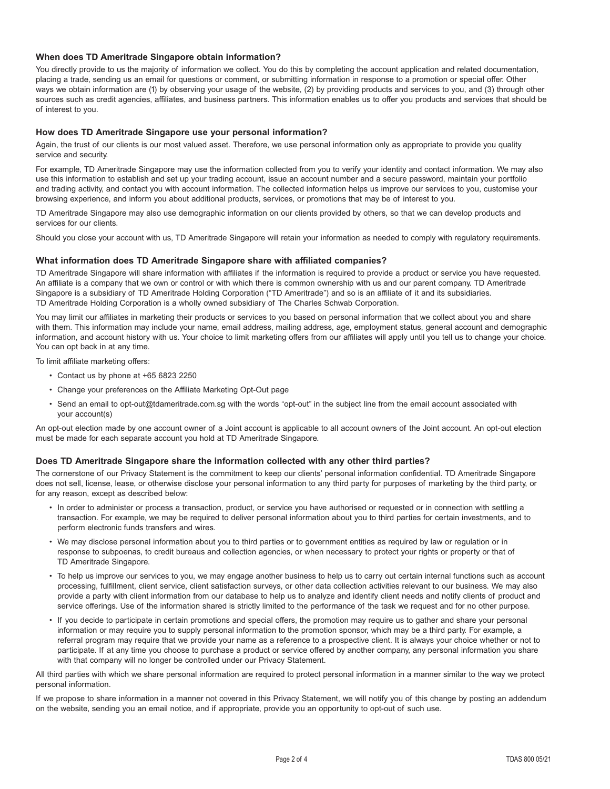## **When does TD Ameritrade Singapore obtain information?**

You directly provide to us the majority of information we collect. You do this by completing the account application and related documentation, placing a trade, sending us an email for questions or comment, or submitting information in response to a promotion or special offer. Other ways we obtain information are (1) by observing your usage of the website, (2) by providing products and services to you, and (3) through other sources such as credit agencies, affiliates, and business partners. This information enables us to offer you products and services that should be of interest to you.

### **How does TD Ameritrade Singapore use your personal information?**

Again, the trust of our clients is our most valued asset. Therefore, we use personal information only as appropriate to provide you quality service and security.

For example, TD Ameritrade Singapore may use the information collected from you to verify your identity and contact information. We may also use this information to establish and set up your trading account, issue an account number and a secure password, maintain your portfolio and trading activity, and contact you with account information. The collected information helps us improve our services to you, customise your browsing experience, and inform you about additional products, services, or promotions that may be of interest to you.

TD Ameritrade Singapore may also use demographic information on our clients provided by others, so that we can develop products and services for our clients.

Should you close your account with us, TD Ameritrade Singapore will retain your information as needed to comply with regulatory requirements.

#### **What information does TD Ameritrade Singapore share with affiliated companies?**

TD Ameritrade Singapore will share information with affiliates if the information is required to provide a product or service you have requested. An affiliate is a company that we own or control or with which there is common ownership with us and our parent company. TD Ameritrade Singapore is a subsidiary of TD Ameritrade Holding Corporation ("TD Ameritrade") and so is an affiliate of it and its subsidiaries. TD Ameritrade Holding Corporation is a wholly owned subsidiary of The Charles Schwab Corporation.

You may limit our affiliates in marketing their products or services to you based on personal information that we collect about you and share with them. This information may include your name, email address, mailing address, age, employment status, general account and demographic information, and account history with us. Your choice to limit marketing offers from our affiliates will apply until you tell us to change your choice. You can opt back in at any time.

To limit affiliate marketing offers:

- Contact us by phone at +65 6823 2250
- Change your preferences on the Affiliate Marketing Opt-Out page
- Send an email to opt-out@tdameritrade.com.sg with the words "opt-out" in the subject line from the email account associated with your account(s)

An opt-out election made by one account owner of a Joint account is applicable to all account owners of the Joint account. An opt-out election must be made for each separate account you hold at TD Ameritrade Singapore.

## **Does TD Ameritrade Singapore share the information collected with any other third parties?**

The cornerstone of our Privacy Statement is the commitment to keep our clients' personal information confidential. TD Ameritrade Singapore does not sell, license, lease, or otherwise disclose your personal information to any third party for purposes of marketing by the third party, or for any reason, except as described below:

- In order to administer or process a transaction, product, or service you have authorised or requested or in connection with settling a transaction. For example, we may be required to deliver personal information about you to third parties for certain investments, and to perform electronic funds transfers and wires.
- We may disclose personal information about you to third parties or to government entities as required by law or regulation or in response to subpoenas, to credit bureaus and collection agencies, or when necessary to protect your rights or property or that of TD Ameritrade Singapore.
- To help us improve our services to you, we may engage another business to help us to carry out certain internal functions such as account processing, fulfillment, client service, client satisfaction surveys, or other data collection activities relevant to our business. We may also provide a party with client information from our database to help us to analyze and identify client needs and notify clients of product and service offerings. Use of the information shared is strictly limited to the performance of the task we request and for no other purpose.
- If you decide to participate in certain promotions and special offers, the promotion may require us to gather and share your personal information or may require you to supply personal information to the promotion sponsor, which may be a third party. For example, a referral program may require that we provide your name as a reference to a prospective client. It is always your choice whether or not to participate. If at any time you choose to purchase a product or service offered by another company, any personal information you share with that company will no longer be controlled under our Privacy Statement.

All third parties with which we share personal information are required to protect personal information in a manner similar to the way we protect personal information.

If we propose to share information in a manner not covered in this Privacy Statement, we will notify you of this change by posting an addendum on the website, sending you an email notice, and if appropriate, provide you an opportunity to opt-out of such use.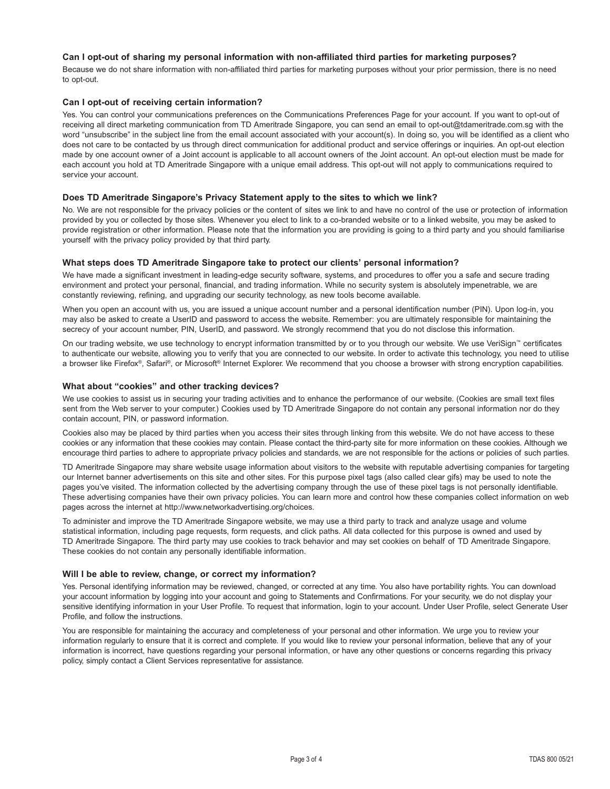## **Can I opt-out of sharing my personal information with non-affiliated third parties for marketing purposes?**

Because we do not share information with non-affiliated third parties for marketing purposes without your prior permission, there is no need to opt-out.

### **Can I opt-out of receiving certain information?**

Yes. You can control your communications preferences on the Communications Preferences Page for your account. If you want to opt-out of receiving all direct marketing communication from TD Ameritrade Singapore, you can send an email to opt-out@tdameritrade.com.sg with the word "unsubscribe" in the subject line from the email account associated with your account(s). In doing so, you will be identified as a client who does not care to be contacted by us through direct communication for additional product and service offerings or inquiries. An opt-out election made by one account owner of a Joint account is applicable to all account owners of the Joint account. An opt-out election must be made for each account you hold at TD Ameritrade Singapore with a unique email address. This opt-out will not apply to communications required to service your account.

### **Does TD Ameritrade Singapore's Privacy Statement apply to the sites to which we link?**

No. We are not responsible for the privacy policies or the content of sites we link to and have no control of the use or protection of information provided by you or collected by those sites. Whenever you elect to link to a co-branded website or to a linked website, you may be asked to provide registration or other information. Please note that the information you are providing is going to a third party and you should familiarise yourself with the privacy policy provided by that third party.

## **What steps does TD Ameritrade Singapore take to protect our clients' personal information?**

We have made a significant investment in leading-edge security software, systems, and procedures to offer you a safe and secure trading environment and protect your personal, financial, and trading information. While no security system is absolutely impenetrable, we are constantly reviewing, refining, and upgrading our security technology, as new tools become available.

When you open an account with us, you are issued a unique account number and a personal identification number (PIN). Upon log-in, you may also be asked to create a UserID and password to access the website. Remember: you are ultimately responsible for maintaining the secrecy of your account number, PIN, UserID, and password. We strongly recommend that you do not disclose this information.

On our trading website, we use technology to encrypt information transmitted by or to you through our website. We use VeriSign™ certificates to authenticate our website, allowing you to verify that you are connected to our website. In order to activate this technology, you need to utilise a browser like Firefox®, Safari®, or Microsoft® Internet Explorer. We recommend that you choose a browser with strong encryption capabilities.

### **What about "cookies" and other tracking devices?**

We use cookies to assist us in securing your trading activities and to enhance the performance of our website. (Cookies are small text files sent from the Web server to your computer.) Cookies used by TD Ameritrade Singapore do not contain any personal information nor do they contain account, PIN, or password information.

Cookies also may be placed by third parties when you access their sites through linking from this website. We do not have access to these cookies or any information that these cookies may contain. Please contact the third-party site for more information on these cookies. Although we encourage third parties to adhere to appropriate privacy policies and standards, we are not responsible for the actions or policies of such parties.

TD Ameritrade Singapore may share website usage information about visitors to the website with reputable advertising companies for targeting our Internet banner advertisements on this site and other sites. For this purpose pixel tags (also called clear gifs) may be used to note the pages you've visited. The information collected by the advertising company through the use of these pixel tags is not personally identifiable. These advertising companies have their own privacy policies. You can learn more and control how these companies collect information on web pages across the internet at http://www.networkadvertising.org/choices.

To administer and improve the TD Ameritrade Singapore website, we may use a third party to track and analyze usage and volume statistical information, including page requests, form requests, and click paths. All data collected for this purpose is owned and used by TD Ameritrade Singapore. The third party may use cookies to track behavior and may set cookies on behalf of TD Ameritrade Singapore. These cookies do not contain any personally identifiable information.

### **Will I be able to review, change, or correct my information?**

Yes. Personal identifying information may be reviewed, changed, or corrected at any time. You also have portability rights. You can download your account information by logging into your account and going to Statements and Confirmations. For your security, we do not display your sensitive identifying information in your User Profile. To request that information, login to your account. Under User Profile, select Generate User Profile, and follow the instructions.

You are responsible for maintaining the accuracy and completeness of your personal and other information. We urge you to review your information regularly to ensure that it is correct and complete. If you would like to review your personal information, believe that any of your information is incorrect, have questions regarding your personal information, or have any other questions or concerns regarding this privacy policy, simply contact a Client Services representative for assistance.